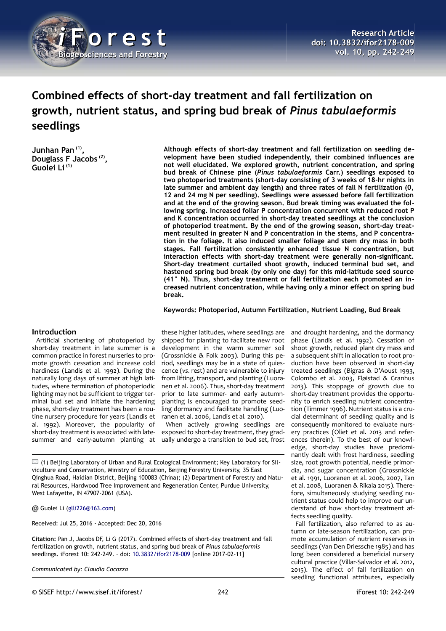

# **Combined effects of short-day treatment and fall fertilization on growth, nutrient status, and spring bud break of** *Pinus tabulaeformis* **seedlings**

**Junhan Pan (1) , Douglass F Jacobs (2) , Guolei Li (1)**

**Although effects of short-day treatment and fall fertilization on seedling development have been studied independently, their combined influences are not well elucidated. We explored growth, nutrient concentration, and spring bud break of Chinese pine (***Pinus tabulaeformis* **Carr.) seedlings exposed to two photoperiod treatments (short-day consisting of 3 weeks of 18-hr nights in late summer and ambient day length) and three rates of fall N fertilization (0, 12 and 24 mg N per seedling). Seedlings were assessed before fall fertilization and at the end of the growing season. Bud break timing was evaluated the following spring. Increased foliar P concentration concurrent with reduced root P and K concentration occurred in short-day treated seedlings at the conclusion of photoperiod treatment. By the end of the growing season, short-day treatment resulted in greater N and P concentration in the stems, and P concentration in the foliage. It also induced smaller foliage and stem dry mass in both stages. Fall fertilization consistently enhanced tissue N concentration, but interaction effects with short-day treatment were generally non-significant. Short-day treatment curtailed shoot growth, induced terminal bud set, and hastened spring bud break (by only one day) for this mid-latitude seed source (41° N). Thus, short-day treatment or fall fertilization each promoted an increased nutrient concentration, while having only a minor effect on spring bud break.**

#### **Keywords: Photoperiod, Autumn Fertilization, Nutrient Loading, Bud Break**

### **Introduction**

Artificial shortening of photoperiod by short-day treatment in late summer is a common practice in forest nurseries to promote growth cessation and increase cold hardiness (Landis et al. 1992). During the naturally long days of summer at high latitudes, where termination of photoperiodic lighting may not be sufficient to trigger terminal bud set and initiate the hardening phase, short-day treatment has been a routine nursery procedure for years (Landis et al. 1992). Moreover, the popularity of short-day treatment is associated with latesummer and early-autumn planting at

these higher latitudes, where seedlings are shipped for planting to facilitate new root development in the warm summer soil (Grossnickle & Folk 2003). During this period, seedlings may be in a state of quiescence (*vs*. rest) and are vulnerable to injury from lifting, transport, and planting (Luoranen et al. 2006). Thus, short-day treatment prior to late summer- and early autumnplanting is encouraged to promote seedling dormancy and facilitate handling (Luoranen et al. 2006, Landis et al. 2010).

When actively growing seedlings are exposed to short-day treatment, they gradually undergo a transition to bud set, frost

 $\Box$  (1) Beijing Laboratory of Urban and Rural Ecological Environment; Key Laboratory for Silviculture and Conservation, Ministry of Education, Beijing Forestry University, 35 East Qinghua Road, Haidian District, Beijing 100083 (China); (2) Department of Forestry and Natural Resources, Hardwood Tree Improvement and Regeneration Center, Purdue University, West Lafayette, IN 47907-2061 (USA).

@ Guolei Li [\(glli226@163.com\)](mailto:glli226@163.com)

Received: Jul 25, 2016 - Accepted: Dec 20, 2016

**Citation:** Pan J, Jacobs DF, Li G (2017). Combined effects of short-day treatment and fall fertilization on growth, nutrient status, and spring bud break of *Pinus tabulaeformis* seedlings. iForest 10: 242-249. – doi: [10.3832/ifor2178-009](http://www.sisef.it/iforest/contents/?id=ifor2178-009) [online 2017-02-11]

*Communicated by: Claudia Cocozza*

© SISEF http://www.sisef.it/iforest/ 242 iForest 10: 242-249

and drought hardening, and the dormancy phase (Landis et al. 1992). Cessation of shoot growth, reduced plant dry mass and a subsequent shift in allocation to root production have been observed in short-day treated seedlings (Bigras & D'Aoust 1993, Colombo et al. 2003, Fløistad & Granhus 2013). This stoppage of growth due to short-day treatment provides the opportunity to enrich seedling nutrient concentration (Timmer 1996). Nutrient status is a crucial determinant of seedling quality and is consequently monitored to evaluate nursery practices (Oliet et al. 2013 and references therein). To the best of our knowledge, short-day studies have predominantly dealt with frost hardiness, seedling size, root growth potential, needle primordia, and sugar concentration (Grossnickle et al. 1991, Luoranen et al. 2006, 2007, Tan et al. 2008, Luoranen & Rikala 2015). Therefore, simultaneously studying seedling nutrient status could help to improve our understand of how short-day treatment affects seedling quality.

Fall fertilization, also referred to as autumn or late-season fertilization, can promote accumulation of nutrient reserves in seedlings (Van Den Driessche 1985) and has long been considered a beneficial nursery cultural practice (Villar-Salvador et al. 2012, 2015). The effect of fall fertilization on seedling functional attributes, especially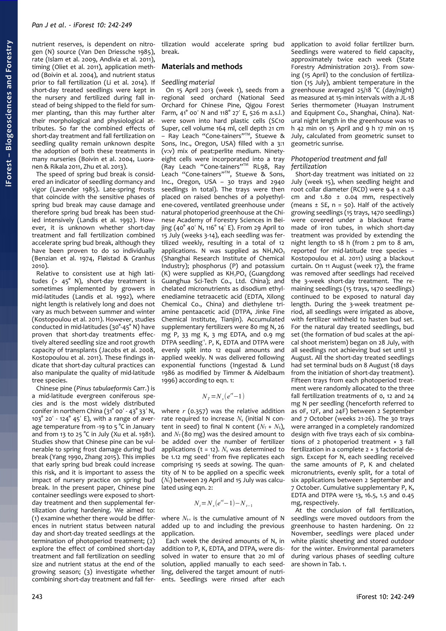nutrient reserves, is dependent on nitrogen (N) source (Van Den Driessche 1985), rate (Islam et al. 2009, Andivia et al. 2011), timing (Oliet et al. 2011), application method (Boivin et al. 2004), and nutrient status prior to fall fertilization (Li et al. 2014). If short-day treated seedlings were kept in the nursery and fertilized during fall instead of being shipped to the field for summer planting, than this may further alter their morphological and physiological attributes. So far the combined effects of short-day treatment and fall fertilization on seedling quality remain unknown despite the adoption of both these treatments in many nurseries (Boivin et al. 2004, Luoranen & Rikala 2011, Zhu et al. 2013).

The speed of spring bud break is considered an indicator of seedling dormancy and vigor (Lavender 1985). Late-spring frosts that coincide with the sensitive phases of spring bud break may cause damage and therefore spring bud break has been studied intensively (Landis et al. 1992). However, it is unknown whether short-day treatment and fall fertilization combined accelerate spring bud break, although they have been proven to do so individually (Benzian et al. 1974, Fløistad & Granhus 2010).

Relative to consistent use at high latitudes ( $> 45^\circ$  N), short-day treatment is sometimes implemented by growers in mid-latitudes (Landis et al. 1992), where night length is relatively long and does not vary as much between summer and winter (Kostopoulou et al. 2011). However, studies conducted in mid-latitudes (30°-45° N) have proven that short-day treatments effectively altered seedling size and root growth capacity of transplants (Jacobs et al. 2008, Kostopoulou et al. 2011). These findings indicate that short-day cultural practices can also manipulate the quality of mid-latitude tree species.

Chinese pine (*Pinus tabulaeformis* Carr.) is a mid-latitude evergreen coniferous species and is the most widely distributed conifer in northern China  $(31^{\circ}$  00' -  $43^{\circ}$  33' N,  $103°$  20' - 124° 45' E), with a range of average temperature from -19 to 5 °C in January and from 13 to 25 °C in July (Xu et al. 1981). Studies show that Chinese pine can be vulnerable to spring frost damage during bud break (Yang 1990, Zhang 2015). This implies that early spring bud break could increase this risk, and it is important to assess the impact of nursery practice on spring bud break. In the present paper, Chinese pine container seedlings were exposed to shortday treatment and then supplemental fertilization during hardening. We aimed to: (1) examine whether there would be differences in nutrient status between natural day and short-day treated seedlings at the termination of photoperiod treatment; (2) explore the effect of combined short-day treatment and fall fertilization on seedling size and nutrient status at the end of the growing season; (3) investigate whether combining short-day treatment and fall fertilization would accelerate spring bud break.

### **Materials and methods**

### *Seedling material*

On 15 April 2013 (week 1), seeds from a regional seed orchard (National Seed Orchard for Chinese Pine, Qigou Forest Farm,  $41^{\circ}$  00' N and 118 $^{\circ}$  27' E, 526 m a.s.l.) were sown into hard plastic cells (SC10 Super, cell volume 164 ml, cell depth 21 cm – Ray Leach "Cone-tainers"TM, Stuewe & Sons, Inc., Oregon, USA) filled with a 3:1 (v:v) mix of peat:perlite medium. Ninetyeight cells were incorporated into a tray (Ray Leach "Cone-tainers"TM RL98, Ray Leach "Cone-tainers"<sup>M</sup>, Stuewe & Sons, Inc., Oregon, USA – 30 trays and 2940 seedlings in total). The trays were then placed on raised benches of a polyethylene-covered, ventilated greenhouse under natural photoperiod greenhouse at the Chinese Academy of Forestry Sciences in Beijing (40° 40′ N, 116° 14′ E). From 29 April to 15 July (weeks 3-14), each seedling was fertilized weekly, resulting in a total of 12 applications. N was supplied as  $NH_4NO_3$ (Shanghai Research Institute of Chemical Industry); phosphorus (P) and potassium (K) were supplied as  $KH<sub>2</sub>PO<sub>4</sub>$  (Guangdong Guanghua Sci-Tech Co., Ltd. China); and chelated micronutrients as disodium ethylenediamine tetraacetic acid (EDTA, Xilong Chemical Co., China) and diethylene triamine pentaacetic acid (DTPA, Jinke Fine Chemical Institute, Tianjin). Accumulated supplementary fertilizers were 80 mg N, 26 mg P, 33 mg K, 3 mg EDTA, and 0.9 mg DTPA seedling<sup>1</sup>. P, K, EDTA and DTPA were evenly split into 12 equal amounts and applied weekly. N was delivered following exponential functions (Ingestad & Lund 1986 as modified by Timmer & Aidelbaum 1996) according to eqn. 1:

$$
N_{T} = N_{s}(e^{rt}-1)
$$

where *r* (0.357) was the relative addition rate required to increase *N*s (initial N content in seed) to final N content  $(N_T + N_S)$ , and  $N<sub>T</sub>$  (80 mg) was the desired amount to be added over the number of fertilizer applications ( $t = 12$ ).  $N_s$  was determined to be 1.12 mg seed<sup>-1</sup> from five replicates each comprising 15 seeds at sowing. The quantity of N to be applied on a specific week (*N*t) between 29 April and 15 July was calculated using eqn. 2:

$$
N_t = N_s(e^{rt} - 1) - N_{t-1}
$$

where  $N_{t-1}$  is the cumulative amount of N added up to and including the previous application.

Each week the desired amounts of N, in addition to P, K, EDTA, and DTPA, were dissolved in water to ensure that 20 ml of solution, applied manually to each seedling, delivered the target amount of nutrients. Seedlings were rinsed after each

application to avoid foliar fertilizer burn. Seedlings were watered to field capacity, approximately twice each week (State Forestry Administration 2013). From sowing (15 April) to the conclusion of fertilization (15 July), ambient temperature in the greenhouse averaged 25/18 °C (day/night) as measured at 15-min intervals with a JL-18 Series thermometer (Huayan Instrument and Equipment Co., Shanghai, China). Natural night length in the greenhouse was 10 h 42 min on 15 April and 9 h 17 min on 15 July, calculated from geometric sunset to geometric sunrise.

### *Photoperiod treatment and fall fertilization*

Short-day treatment was initiated on 22 July (week 15), when seedling height and root collar diameter (RCD) were 9.4 ± 0.28 cm and  $1.80 \pm 0.04$  mm, respectively (means  $\pm$  SE, n = 50). Half of the actively growing seedlings (15 trays, 1470 seedlings) were covered under a blackout frame made of iron tubes, in which short-day treatment was provided by extending the night length to 18 h (from 2 pm to  $\overline{8}$  am, reported for mid-latitude tree species – Kostopoulou et al. 2011) using a blackout curtain. On 11 August (week 17), the frame was removed after seedlings had received the 3-week short-day treatment. The remaining seedlings (15 trays, 1470 seedlings) continued to be exposed to natural day length. During the 3-week treatment period, all seedlings were irrigated as above, with fertilizer withheld to hasten bud set. For the natural day treated seedlings, bud set (the formation of bud scales at the apical shoot meristem) began on 28 July, with all seedlings not achieving bud set until 31 August. All the short-day treated seedlings had set terminal buds on 8 August (18 days from the initiation of short-day treatment). Fifteen trays from each photoperiod treatment were randomly allocated to the three fall fertilization treatments of 0, 12 and 24 mg N per seedling (henceforth referred to as 0F, 12F, and 24F) between 2 September and 7 October (weeks 21-26). The 30 trays were arranged in a completely randomized design with five trays each of six combinations of 2 photoperiod treatment  $\times$  3 fall fertilization in a complete 2 × 3 factorial design. Except for N, each seedling received the same amounts of P, K and chelated micronutrients, evenly split, for a total of six applications between 2 September and 7 October. Cumulative supplementary P, K, EDTA and DTPA were 13, 16.5, 1.5 and 0.45 mg, respectively.

At the conclusion of fall fertilization, seedlings were moved outdoors from the greenhouse to hasten hardening. On 22 November, seedlings were placed under white plastic sheeting and stored outdoor for the winter. Environmental parameters during various phases of seedling culture are shown in [Tab. 1.](#page-2-0)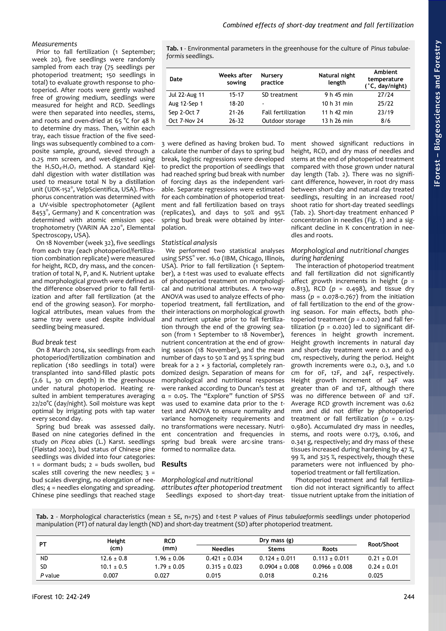### *Combined effects of short-day treatment and fall fertilization*

### *Measurements*

Prior to fall fertilization (1 September; week 20), five seedlings were randomly sampled from each tray (75 seedlings per photoperiod treatment; 150 seedlings in total) to evaluate growth response to photoperiod. After roots were gently washed free of growing medium, seedlings were measured for height and RCD. Seedlings were then separated into needles, stems, and roots and oven-dried at 65 °C for 48 h to determine dry mass. Then, within each tray, each tissue fraction of the five seedlings was subsequently combined to a composite sample, ground, sieved through a 0.25 mm screen, and wet-digested using the  $H_2SO_4$ - $H_2O_2$  method. A standard Kjeldahl digestion with water distillation was used to measure total N by a distillation unit (UDK-152® , VelpScientifica, USA). Phosphorus concentration was determined with a UV-visible spectrophotometer (Agilent 8453®, Germany) and K concentration was determined with atomic emission spectrophotometry (VARIN AA 220® , Elemental Spectroscopy, USA).

On 18 November (week 32), five seedlings from each tray (each photoperiod/fertilization combination replicate) were measured for height, RCD, dry mass, and the concentration of total N, P, and K. Nutrient uptake and morphological growth were defined as the difference observed prior to fall fertilization and after fall fertilization (at the end of the growing season). For morphological attributes, mean values from the same tray were used despite individual seedling being measured.

### *Bud break test*

On 8 March 2014, six seedlings from each photoperiod/fertilization combination and replication (180 seedlings in total) were transplanted into sand-filled plastic pots (2.6 L, 30 cm depth) in the greenhouse under natural photoperiod. Heating resulted in ambient temperatures averaging 22/20°C (day/night). Soil moisture was kept optimal by irrigating pots with tap water every second day.

Spring bud break was assessed daily. Based on nine categories defined in the study on *Picea abies* (L.) Karst. seedlings (Fløistad 2002), bud status of Chinese pine seedlings was divided into four categories:  $1 =$  dormant buds;  $2 =$  buds swollen, bud scales still covering the new needles;  $3 =$ bud scales diverging, no elongation of needles; 4 = needles elongating and spreading. Chinese pine seedlings that reached stage

<span id="page-2-0"></span>**Tab. 1** - Environmental parameters in the greenhouse for the culture of *Pinus tabulaeformis* seedlings.

| Date          | Weeks after<br>sowing | <b>Nursery</b><br>practice | Natural night<br>length | Ambient<br>temperature<br>(°C, day/night) |
|---------------|-----------------------|----------------------------|-------------------------|-------------------------------------------|
| Jul 22-Aug 11 | $15 - 17$             | SD treatment               | 9 h 45 min              | 27/24                                     |
| Aug 12-Sep 1  | $18 - 20$             | $\overline{\phantom{0}}$   | 10 h 31 min             | 25/22                                     |
| Sep 2-Oct 7   | $21 - 26$             | <b>Fall fertilization</b>  | 11 h 42 min             | 23/19                                     |
| Oct 7-Nov 24  | 26-32                 | Outdoor storage            | 13 h 26 min             | 8/6                                       |

3 were defined as having broken bud. To calculate the number of days to spring bud break, logistic regressions were developed to predict the proportion of seedlings that had reached spring bud break with number of forcing days as the independent variable. Separate regressions were estimated for each combination of photoperiod treatment and fall fertilization based on trays (replicates), and days to 50% and 95% spring bud break were obtained by interpolation.

### *Statistical analysis*

We performed two statistical analyses using SPSS® ver. 16.0 (IBM, Chicago, Illinois, USA). Prior to fall fertilization (1 September), a *t-*test was used to evaluate effects of photoperiod treatment on morphological and nutritional attributes. A two-way ANOVA was used to analyze effects of photoperiod treatment, fall fertilization, and their interactions on morphological growth and nutrient uptake prior to fall fertilization through the end of the growing season (from 1 September to 18 November), nutrient concentration at the end of growing season (18 November), and the mean number of days to 50 % and 95 % spring bud break for a  $2 \times 3$  factorial, completely randomized design. Separation of means for morphological and nutritional responses were ranked according to Duncan's test at  $\alpha$  = 0.05. The "Explore" function of SPSS was used to examine data prior to the *t*test and ANOVA to ensure normality and variance homogeneity requirements and no transformations were necessary. Nutrient concentration and frequencies in spring bud break were arc-sine transformed to normalize data.

## **Results**

### *Morphological and nutritional attributes after photoperiod treatment*

ment showed significant reductions in height, RCD, and dry mass of needles and stems at the end of photoperiod treatment compared with those grown under natural day length [\(Tab. 2\)](#page-2-1). There was no significant difference, however, in root dry mass between short-day and natural day treated seedlings, resulting in an increased root/ shoot ratio for short-day treated seedlings [\(Tab. 2\)](#page-2-1). Short-day treatment enhanced P concentration in needles [\(Fig. 1\)](#page-3-0) and a significant decline in K concentration in needles and roots.

### *Morphological and nutritional changes during hardening*

The interaction of photoperiod treatment and fall fertilization did not significantly affect growth increments in height (*p* = 0.813), RCD (*p* = 0.498), and tissue dry mass (*p* = 0.078-0.767) from the initiation of fall fertilization to the end of the growing season. For main effects, both photoperiod treatment (*p =* 0.002) and fall fertilization (*p =* 0.020) led to significant differences in height growth increment. Height growth increments in natural day and short-day treatment were 0.1 and 0.9 cm, respectively, during the period. Height growth increments were 0.2, 0.3, and 1.0 cm for 0F, 12F, and 24F, respectively. Height growth increment of 24F was greater than 0F and 12F, although there was no difference between 0F and 12F. Average RCD growth increment was 0.62 mm and did not differ by photoperiod treatment or fall fertilization (*p* = 0.125- 0.980). Accumulated dry mass in needles, stems, and roots were 0.173, 0.106, and 0.341 g, respectively; and dry mass of these tissues increased during hardening by 47 %, 99 %, and 325 %, respectively, though these parameters were not influenced by photoperiod treatment or fall fertilization.

Photoperiod treatment and fall fertilization did not interact significantly to affect tissue nutrient uptake from the initiation of

<span id="page-2-1"></span>**Tab. 2** - Morphological characteristics (mean ± SE, n=75) and *t-*test *P* values of *Pinus tabulaeformis* seedlings under photoperiod manipulation (PT) of natural day length (ND) and short-day treatment (SD) after photoperiod treatment.

Seedlings exposed to short-day treat-

| PТ        | Height         | <b>RCD</b>      |                   | Dry mass (g)      |                   |                 |
|-----------|----------------|-----------------|-------------------|-------------------|-------------------|-----------------|
|           | (cm)           | (mm)            | <b>Needles</b>    | <b>Stems</b>      | <b>Roots</b>      | Root/Shoot      |
| <b>ND</b> | $12.6 \pm 0.8$ | $1.96 \pm 0.06$ | $0.421 \pm 0.034$ | $0.124 \pm 0.011$ | $0.113 \pm 0.011$ | $0.21 \pm 0.01$ |
| SD        | $10.1 \pm 0.5$ | $1.79 \pm 0.05$ | $0.315 \pm 0.023$ | $0.0904 + 0.008$  | $0.0966 + 0.008$  | $0.24 \pm 0.01$ |
| P value   | 0.007          | 0.027           | 0.015             | 0.018             | 0.216             | 0.025           |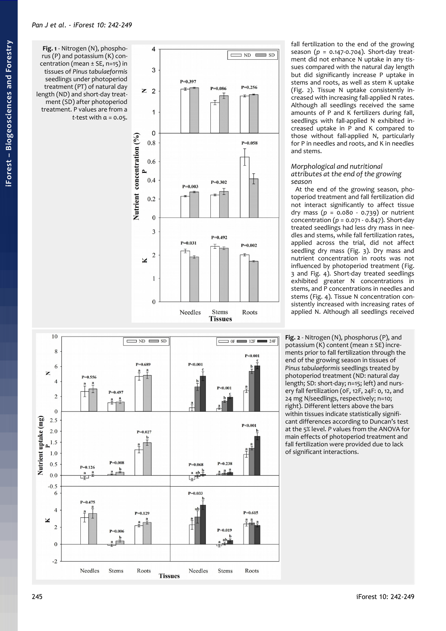<span id="page-3-0"></span>**Fig. 1** - Nitrogen (N), phospho rus (P) and potassium (K) con centration (mean ± SE, n=15) in tissues of *Pinus tabulaeformis* seedlings under photoperiod treatment (PT) of natural day length (ND) and short-day treat ment (SD) after photoperiod treatment. P values are from a *t-*test with α = 0.05.





fall fertilization to the end of the growing season ( *p* = 0.147-0.704). Short-day treat ment did not enhance N uptake in any tis sues compared with the natural day length but did significantly increase P uptake in stems and roots, as well as stem K uptake [\(Fig. 2\)](#page-3-1). Tissue N uptake consistently increased with increasing fall-applied N rates. Although all seedlings received the same amounts of P and K fertilizers during fall, seedlings with fall-applied N exhibited in creased uptake in P and K compared to those without fall-applied N, particularly for P in needles and roots, and K in needles and stems.

### *Morphological and nutritional attributes at the end of the growing season*

At the end of the growing season, pho toperiod treatment and fall fertilization did not interact significantly to affect tissue dry mass ( *p* = 0.080 - 0.739) or nutrient concentration ( *p* = 0.071 - 0.847). Short-day treated seedlings had less dry mass in nee dles and stems, while fall fertilization rates, applied across the trial, did not affect seedling dry mass [\(Fig. 3\)](#page-4-1). Dry mass and nutrient concentration in roots was not influenced by photoperiod treatment [\(Fig.](#page-4-1) [3](#page-4-1) and [Fig. 4\)](#page-4-0). Short-day treated seedlings exhibited greater N concentrations in stems, and P concentrations in needles and stems [\(Fig. 4\)](#page-4-0). Tissue N concentration con sistently increased with increasing rates of applied N. Although all seedlings received

<span id="page-3-1"></span>**Fig. 2** - Nitrogen (N), phosphorus (P), and potassium (K) content (mean ± SE) incre ments prior to fall fertilization through the end of the growing season in tissues of *Pinus tabulaeformis* seedlings treated by photoperiod treatment (ND: natural day length; SD: short-day; n=15; left) and nurs ery fall fertilization (0F, 12F, 24F: 0, 12, and 24 mg N/seedlings, respectively; n=10; right). Different letters above the bars within tissues indicate statistically signifi cant differences according to Duncan's test at the 5% level. *P* values from the ANOVA for main effects of photoperiod treatment and fall fertilization were provided due to lack of significant interactions.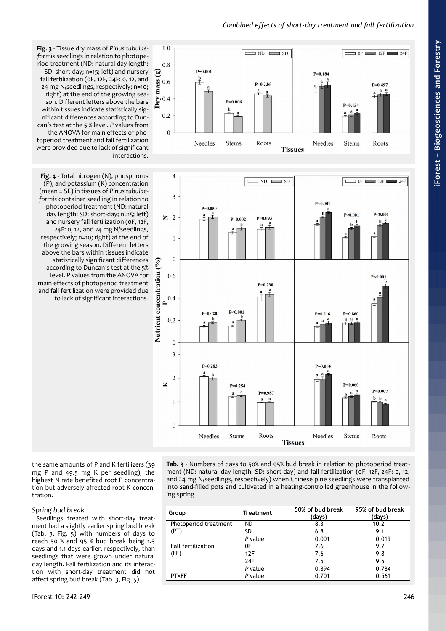# *Combined effects of short-day treatment and fall fertilization*



<span id="page-4-1"></span>**Fig. 3** - Tissue dry mass of *Pinus tabulaeformis* seedlings in relation to photoperiod treatment (ND: natural day length; SD: short-day; n=15; left) and nursery fall fertilization (0F, 12F, 24F: 0, 12, and 24 mg N/seedlings, respectively; n=10; right) at the end of the growing season. Different letters above the bars within tissues indicate statistically significant differences according to Duncan's test at the 5 % level. *P* values from the ANOVA for main effects of photoperiod treatment and fall fertilization were provided due to lack of significant interactions.

<span id="page-4-0"></span>**Fig. 4** - Total nitrogen (N), phosphorus (P), and potassium (K) concentration (mean ± SE) in tissues of *Pinus tabulaeformis* container seedling in relation to photoperiod treatment (ND: natural day length; SD: short-day; n=15; left) and nursery fall fertilization (0F, 12F, 24F: 0, 12, and 24 mg N/seedlings, respectively; n=10; right) at the end of the growing season. Different letters above the bars within tissues indicate statistically significant differences according to Duncan's test at the 5% level. *P* values from the ANOVA for main effects of photoperiod treatment and fall fertilization were provided due to lack of significant interactions.



the same amounts of P and K fertilizers (39 mg P and 49.5 mg K per seedling), the highest N rate benefited root P concentration but adversely affected root K concentration.

### *Spring bud break*

Seedlings treated with short-day treatment had a slightly earlier spring bud break [\(Tab. 3,](#page-4-2) [Fig. 5\)](#page-5-0) with numbers of days to reach 50 % and 95 % bud break being 1.5 days and 1.1 days earlier, respectively, than seedlings that were grown under natural day length. Fall fertilization and its interaction with short-day treatment did not affect spring bud break [\(Tab. 3,](#page-4-2) [Fig. 5\)](#page-5-0).

<span id="page-4-2"></span>**Tab. 3** - Numbers of days to 50% and 95% bud break in relation to photoperiod treatment (ND: natural day length; SD: short-day) and fall fertilization (0F, 12F, 24F: 0, 12, and 24 mg N/seedlings, respectively) when Chinese pine seedlings were transplanted into sand-filled pots and cultivated in a heating-controlled greenhouse in the following spring.

| Group                     | Treatment | 50% of bud break<br>(days) | 95% of bud break<br>(days) |
|---------------------------|-----------|----------------------------|----------------------------|
| Photoperiod treatment     | <b>ND</b> | 8.3                        | 10.2                       |
| (PT)                      | SD        | 6.8                        | 9.1                        |
|                           | P value   | 0.001                      | 0.019                      |
| <b>Fall fertilization</b> | 0F        | 7.6                        | 9.7                        |
| (FF)                      | 12F       | 7.6                        | 9.8                        |
|                           | 24F       | 7.5                        | 9.5                        |
|                           | P value   | 0.894                      | 0.784                      |
| <b>PT×FF</b>              | P value   | 0.701                      | 0.561                      |
|                           |           |                            |                            |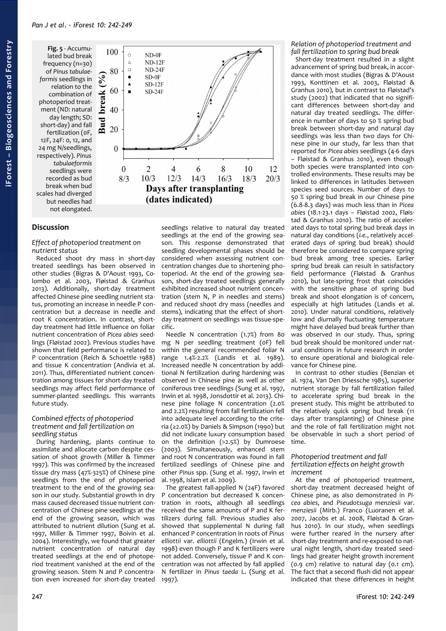<span id="page-5-0"></span>**Fig. 5** - Accumulated bud break frequency (n=30) of *Pinus tabulaeformis* seedlings in relation to the combination of photoperiod treatment (ND: natural day length; SD: short-day) and fall fertilization (0F, 12F, 24F: 0, 12, and 24 mg N/seedlings, respectively). *Pinus tabulaeformis* seedlings were recorded as bud break when bud scales had diverged but needles had not elongated.



# **Discussion**

### *Effect of photoperiod treatment on nutrient status*

Reduced shoot dry mass in short-day treated seedlings has been observed in other studies (Bigras & D'Aoust 1993, Colombo et al. 2003, Fløistad & Granhus 2013). Additionally, short-day treatment affected Chinese pine seedling nutrient status, promoting an increase in needle P concentration but a decrease in needle and root K concentration. In contrast, shortday treatment had little influence on foliar nutrient concentration of *Picea abies* seedlings (Fløistad 2002). Previous studies have shown that field performance is related to P concentration (Reich & Schoettle 1988) and tissue K concentration (Andivia et al. 2011). Thus, differentiated nutrient concentration among tissues for short-day treated seedlings may affect field performance of summer-planted seedlings. This warrants future study.

### *Combined effects of photoperiod treatment and fall fertilization on seedling status*

During hardening, plants continue to assimilate and allocate carbon despite cessation of shoot growth (Miller & Timmer 1997). This was confirmed by the increased tissue dry mass (47%-325%) of Chinese pine seedlings from the end of photoperiod treatment to the end of the growing season in our study. Substantial growth in dry mass caused decreased tissue nutrient concentration of Chinese pine seedlings at the end of the growing season, which was attributed to nutrient dilution (Sung et al. 1997, Miller & Timmer 1997, Boivin et al. 2004). Interestingly, we found that greater nutrient concentration of natural day treated seedlings at the end of photoperiod treatment vanished at the end of the growing season. Stem N and P concentration even increased for short-day treated

seedlings relative to natural day treated seedlings at the end of the growing season. This response demonstrated that seedling developmental phases should be considered when assessing nutrient concentration changes due to shortening photoperiod. At the end of the growing season, short-day treated seedlings generally exhibited increased shoot nutrient concentration (stem N, P in needles and stems) and reduced shoot dry mass (needles and stems), indicating that the effect of shortday treatment on seedlings was tissue-specific.

Needle N concentration (1.7%) from 80 mg N per seedling treatment (0F) fell within the general recommended foliar N range 1.4%-2.2% (Landis et al. 1989). Increased needle N concentration by additional N fertilization during hardening was observed in Chinese pine as well as other coniferous tree seedlings (Sung et al. 1997, Irwin et al. 1998, Jonsdottir et al. 2013). Chinese pine foliage N concentration (2.0% and 2.2%) resulting from fall fertilization fell into adequate level according to the criteria (≥2.0%) by Daniels & Simpson (1990) but did not indicate luxury consumption based on the definition (>2.5%) by Dumroese (2003). Simultaneously, enhanced stem and root N concentration was found in fall fertilized seedlings of Chinese pine and other *Pinus* spp. (Sung et al. 1997, Irwin et al. 1998, Islam et al. 2009).

The greatest fall-applied N (24F) favored P concentration but decreased K concentration in roots, although all seedlings received the same amounts of P and K fertilizers during fall. Previous studies also showed that supplemental N during fall enhanced P concentration in roots of *Pinus elliottii* var. *elliottii* (Engelm.) (Irwin et al. 1998) even though P and K fertilizers were not added. Conversely, tissue P and K concentration was not affected by fall applied N fertilizer in *Pinus taeda* L. (Sung et al. 1997).

### *Relation of photoperiod treatment and fall fertilization to spring bud break*

Short-day treatment resulted in a slight advancement of spring bud break, in accordance with most studies (Bigras & D'Aoust 1993, Konttinen et al. 2003, Fløistad & Granhus 2010), but in contrast to Fløistad's study (2002) that indicated that no significant differences between short-day and natural day treated seedlings. The difference in number of days to 50 % spring bud break between short-day and natural day seedlings was less than two days for Chinese pine in our study, far less than that reported for *Picea abies* seedlings (4-6 days – Fløistad & Granhus 2010), even though both species were transplanted into controlled environments. These results may be linked to differences in latitudes between species seed sources. Number of days to 50 % spring bud break in our Chinese pine (6.8-8.3 days) was much less than in *Picea abies* (18.1-23.1 days – Fløistad 2002, Fløistad & Granhus 2010). The ratio of accelerated days to total spring bud break days in natural day conditions (*i.e.*, relatively accelerated days of spring bud break) should therefore be considered to compare spring bud break among tree species. Earlier spring bud break can result in satisfactory field performance (Fløistad & Granhus 2010), but late-spring frost that coincides with the sensitive phase of spring bud break and shoot elongation is of concern, especially at high latitudes (Landis et al. 2010). Under natural conditions, relatively low and diurnally fluctuating temperature might have delayed bud break further than was observed in our study. Thus, spring bud break should be monitored under natural conditions in future research in order to ensure operational and biological relevance for Chinese pine.

In contrast to other studies (Benzian et al. 1974, Van Den Driessche 1985), superior nutrient storage by fall fertilization failed to accelerate spring bud break in the present study. This might be attributed to the relatively quick spring bud break (11 days after transplanting) of Chinese pine and the role of fall fertilization might not be observable in such a short period of time.

### *Photoperiod treatment and fall fertilization effects on height growth increment*

At the end of photoperiod treatment, short-day treatment decreased height of Chinese pine, as also demonstrated in *Picea abies*, and *Pseudotsuga menziesii* var. *menziesii* (Mirb.) Franco (Luoranen et al. 2007, Jacobs et al. 2008, Fløistad & Granhus 2010). In our study, when seedlings were further reared in the nursery after short-day treatment and re-exposed to natural night length, short-day treated seedlings had greater height growth increment (0.9 cm) relative to natural day (0.1 cm). The fact that a second flush did not appear indicated that these differences in height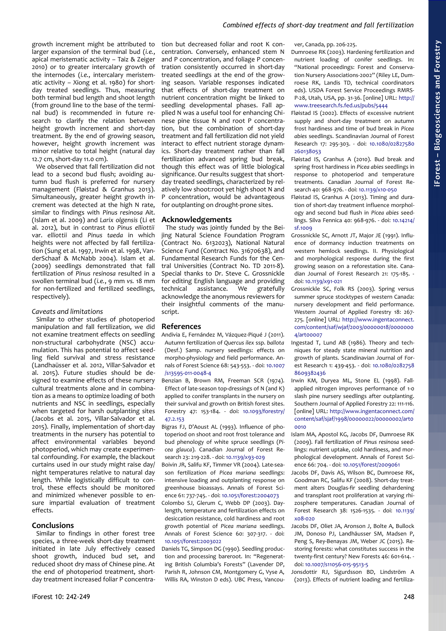# *Combined effects of short-day treatment and fall fertilization*

growth increment might be attributed to larger expansion of the terminal bud (*i.e.*, apical meristematic activity – Taiz & Zeiger 2010) or to greater intercalary growth of the internodes (*i.e.*, intercalary meristematic activity – Xiong et al. 1980) for shortday treated seedlings. Thus, measuring both terminal bud length and shoot length (from ground line to the base of the terminal bud) is recommended in future research to clarify the relation between height growth increment and short-day treatment. By the end of growing season, however, height growth increment was minor relative to total height (natural day 12.7 cm, short-day 11.0 cm).

We observed that fall fertilization did not lead to a second bud flush; avoiding autumn bud flush is preferred for nursery management (Fløistad & Granhus 2013). Simultaneously, greater height growth increment was detected at the high N rate, similar to findings with *Pinus resinosa* Ait. (Islam et al. 2009) and *Larix olgensis* (Li et al. 2012), but in contrast to *Pinus elliottii* var. *elliottii* and *Pinus taeda* in which heights were not affected by fall fertilization (Sung et al. 1997, Irwin et al. 1998, VanderSchaaf & McNabb 2004). Islam et al. (2009) seedlings demonstrated that fall fertilization of *Pinus resinosa* resulted in a swollen terminal bud (*i.e.*, 9 mm *vs.* 18 mm for non-fertilized and fertilized seedlings, respectively).

### *Caveats and limitations*

Similar to other studies of photoperiod manipulation and fall fertilization, we did not examine treatment effects on seedling non-structural carbohydrate (NSC) accumulation. This has potential to affect seedling field survival and stress resistance (Landhaüsser et al. 2012, Villar-Salvador et al. 2015). Future studies should be designed to examine effects of these nursery cultural treatments alone and in combination as a means to optimize loading of both nutrients and NSC in seedlings, especially when targeted for harsh outplanting sites (Jacobs et al. 2015, Villar-Salvador et al. 2015). Finally, implementation of short-day treatments in the nursery has potential to affect environmental variables beyond photoperiod, which may create experimental confounding. For example, the blackout curtains used in our study might raise day/ night temperatures relative to natural day length. While logistically difficult to control, these effects should be monitored and minimized whenever possible to ensure impartial evaluation of treatment effects.

#### **Conclusions**

Similar to findings in other forest tree species, a three-week short-day treatment initiated in late July effectively ceased shoot growth, induced bud set, and reduced shoot dry mass of Chinese pine. At the end of photoperiod treatment, shortday treatment increased foliar P concentration but decreased foliar and root K concentration. Conversely, enhanced stem N and P concentration, and foliage P concentration consistently occurred in short-day treated seedlings at the end of the growing season. Variable responses indicated that effects of short-day treatment on nutrient concentration might be linked to seedling developmental phases. Fall applied N was a useful tool for enhancing Chinese pine tissue N and root P concentration, but the combination of short-day treatment and fall fertilization did not yield interact to effect nutrient storage dynamics. Short-day treatment rather than fall fertilization advanced spring bud break, though this effect was of little biological significance. Our results suggest that shortday treated seedlings, characterized by relatively low shoot:root yet high shoot N and P concentration, would be advantageous for outplanting on drought-prone sites.

### **Acknowledgements**

The study was jointly funded by the Beijing Natural Science Foundation Program (Contract No. 6132023), National Natural Science Fund (Contract No. 31670638), and Fundamental Research Funds for the Central Universities (Contract No. TD 2011-8). Special thanks to Dr. Steve C. Grossnickle for editing English language and providing technical assistance. We gratefully acknowledge the anonymous reviewers for their insightful comments of the manuscript.

### **References**

- Andivia E, Fernández M, Vázquez-Piqué J (2011). Autumn fertilization of *Quercus ilex* ssp. *ballota* (Desf.) Samp. nursery seedlings: effects on morpho-physiology and field performance. Annals of Forest Science 68: 543-553. - doi: [10.1007](http://dx.doi.org/10.1007/s13595-011-0048-4) [/s13595-011-0048-4](http://dx.doi.org/10.1007/s13595-011-0048-4)
- Benzian B, Brown RM, Freeman SCR (1974). Effect of late-season top-dressings of N (and K) applied to conifer transplants in the nursery on their survival and growth on British forest sites. Forestry 47: 153-184. - doi: [10.1093/forestry/](http://dx.doi.org/10.1093/forestry/47.2.153) [47.2.153](http://dx.doi.org/10.1093/forestry/47.2.153)
- Bigras FJ, D'Aoust AL (1993). Influence of photoperiod on shoot and root frost tolerance and bud phenology of white spruce seedlings (*Picea glauca*). Canadian Journal of Forest Research 23: 219-228. - doi: [10.1139/x93-029](http://dx.doi.org/10.1139/x93-029)
- Boivin JR, Salifu KF, Timmer VR (2004). Late-season fertilization of *Picea mariana* seedlings: intensive loading and outplanting response on greenhouse bioassays. Annals of Forest Science 61: 737-745. - doi: [10.1051/forest:2004073](http://dx.doi.org/10.1051/forest:2004073)
- Colombo SJ, Glerum C, Webb DP (2003). Daylength, temperature and fertilization effects on desiccation resistance, cold hardiness and root growth potential of *Picea mariana* seedlings. Annals of Forest Science 60: 307-317. - doi: [10.1051/forest:2003022](http://dx.doi.org/10.1051/forest:2003022)
- Daniels TG, Simpson DG (1990). Seedling production and processing bareroot. In: "Regenerating British Columbia's Forests" (Lavender DP, Parish R, Johnson CM, Montgomery G, Vyse A, Willis RA, Winston D eds). UBC Press, Vancou-

ver, Canada, pp. 206-225.

Dumroese RK (2003). Hardening fertilization and nutrient loading of conifer seedlings. In: "National proceedings: Forest and Conservation Nursery Associations-2002" (Riley LE, Dumroese RK, Landis TD, technical coordinators eds). USDA Forest Service Proceedings RMRS-P-28, Utah, USA, pp. 31-36. [online] URL: [http://](http://www.treesearch.fs.fed.us/pubs/5444) [www.treesearch.fs.fed.us/pubs/5444](http://www.treesearch.fs.fed.us/pubs/5444)

- Fløistad IS (2002). Effects of excessive nutrient supply and short-day treatment on autumn frost hardiness and time of bud break in *Picea abies* seedlings. Scandinavian Journal of Forest Research 17: 295-303. - doi: [10.1080/02827580](http://dx.doi.org/10.1080/02827580260138053) [260138053](http://dx.doi.org/10.1080/02827580260138053)
- Fløistad IS, Granhus A (2010). Bud break and spring frost hardiness in *Picea abies* seedlings in response to photoperiod and temperature treatments. Canadian Journal of Forest Research 40: 968-976. - doi: [10.1139/x10-050](http://dx.doi.org/10.1139/x10-050)
- Fløistad IS, Granhus A (2013). Timing and duration of short-day treatment influence morphology and second bud flush in *Picea abies* seedlings. Silva Fennica 40: 968-976. - doi: [10.14214/](http://dx.doi.org/10.14214/sf.1009) [sf.1009](http://dx.doi.org/10.14214/sf.1009)
- Grossnickle SC, Arnott JT, Major JE (1991). Influence of dormancy induction treatments on western hemlock seedlings. II. Physiological and morphological response during the first growing season on a reforestation site. Canadian Journal of Forest Research 21: 175-185. doi: [10.1139/x91-021](http://dx.doi.org/10.1139/x91-021)
- Grossnickle SC, Folk RS (2003). Spring versus summer spruce stocktypes of western Canada: nursery development and field performance. Western Journal of Applied Forestry 18: 267- 275. [online] URL: [http://www.ingentaconnect.](http://www.ingentaconnect.com/content/saf/wjaf/2003/00000018/00000004/art00007) [com/content/saf/wjaf/2003/00000018/0000000](http://www.ingentaconnect.com/content/saf/wjaf/2003/00000018/00000004/art00007) [4/art00007](http://www.ingentaconnect.com/content/saf/wjaf/2003/00000018/00000004/art00007)
- Ingestad T, Lund AB (1986). Theory and techniques for steady state mineral nutrition and growth of plants. Scandinavian Journal of Forest Research 1: 439-453. - doi: [10.1080/0282758](http://dx.doi.org/10.1080/02827588609382436) [8609382436](http://dx.doi.org/10.1080/02827588609382436)
- Irwin KM, Duryea ML, Stone EL (1998). Fallapplied nitrogen improves performance of 1-0 slash pine nursery seedlings after outplanting. Southern Journal of Applied Forestry 22: 111-116. [online] URL: [http://www.ingentaconnect.com/](http://www.ingentaconnect.com/content/saf/sjaf/1998/00000022/00000002/art00010) [content/saf/sjaf/1998/00000022/00000002/art0](http://www.ingentaconnect.com/content/saf/sjaf/1998/00000022/00000002/art00010) [0010](http://www.ingentaconnect.com/content/saf/sjaf/1998/00000022/00000002/art00010)
- Islam MA, Apostol KG, Jacobs DF, Dumroese RK (2009). Fall fertilization of *Pinus resinosa* seedlings: nutrient uptake, cold hardiness, and morphological development. Annals of Forest Science 66: 704. - doi: [10.1051/forest/2009061](http://dx.doi.org/10.1051/forest/2009061)
- Jacobs DF, Davis AS, Wilson BC, Dumroese RK, Goodman RC, Salifu KF (2008). Short-day treatment alters Douglas-fir seedling dehardening and transplant root proliferation at varying rhizosphere temperatures. Canadian Journal of Forest Research 38: 1526-1535. - doi: [10.1139/](http://dx.doi.org/10.1139/x08-020) [x08-020](http://dx.doi.org/10.1139/x08-020)
- Jacobs DF, Oliet JA, Aronson J, Bolte A, Bullock JM, Donoso PJ, Landhäusser SM, Madsen P, Peng S, Rey-Benayas JM, Weber JC (2015). Restoring forests: what constitutes success in the twenty-first century? New Forests 46: 601-614. doi: [10.1007/s11056-015-9513-5](http://dx.doi.org/10.1007/s11056-015-9513-5)

Jonsdottir RJ, Sigurdsson BD, Lindström A (2013). Effects of nutrient loading and fertiliza-